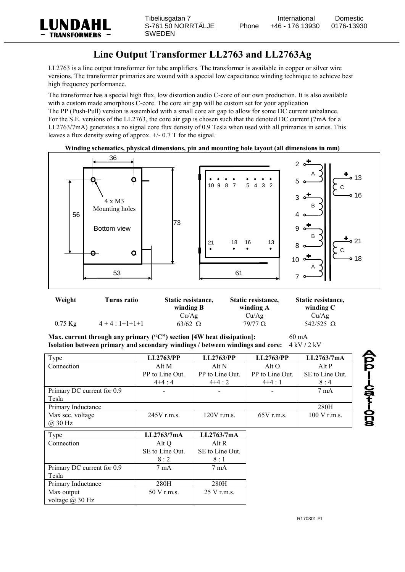

## **Line Output Transformer LL2763 and LL2763Ag**

LL2763 is a line output transformer for tube amplifiers. The transformer is available in copper or silver wire versions. The transformer primaries are wound with a special low capacitance winding technique to achieve best high frequency performance.

The transformer has a special high flux, low distortion audio C-core of our own production. It is also available with a custom made amorphous C-core. The core air gap will be custom set for your application The PP (Push-Pull) version is assembled with a small core air gap to allow for some DC current unbalance. For the S.E. versions of the LL2763, the core air gap is chosen such that the denoted DC current (7mA for a LL2763/7mA) generates a no signal core flux density of 0.9 Tesla when used with all primaries in series. This leaves a flux density swing of approx. +/- 0.7 T for the signal.

## **Winding schematics, physical dimensions, pin and mounting hole layout (all dimensions in mm)**



| Weight    | Turns ratio   | Static resistance,<br>winding B | Static resistance,<br>winding A | Static resistance,<br>winding $C$ |
|-----------|---------------|---------------------------------|---------------------------------|-----------------------------------|
| $0.75$ Kg | $4+4:1+1+1+1$ | Cu/Ag<br>$63/62$ $\Omega$       | Cu/Ag<br>$79/77$ Q              | Cu/Ag<br>542/525 $\Omega$         |

**Max. current through any primary ("C") section [4W heat dissipation]:** 60 mA **Isolation between primary and secondary windings / between windings and core:** 4 kV / 2 kV

| Type                       | <b>LL2763/PP</b> | <b>LL2763/PP</b> | LL2763/PP       | LL2763/7mA             |
|----------------------------|------------------|------------------|-----------------|------------------------|
| Connection                 | Alt M            | Alt N            | Alt O           | Alt P                  |
|                            | PP to Line Out.  | PP to Line Out.  | PP to Line Out. | SE to Line Out.        |
|                            | $4+4:4$          | $4+4:2$          | $4+4:1$         | 8:4                    |
| Primary DC current for 0.9 |                  |                  |                 | $7 \text{ mA}$         |
| Tesla                      |                  |                  |                 |                        |
| Primary Inductance         |                  |                  |                 | 280H                   |
| Max sec. voltage           | 245V r.m.s.      | $120V$ r.m.s.    | $65V$ r.m.s.    | $100 \text{ V}$ r.m.s. |
| $(a)$ 30 Hz                |                  |                  |                 |                        |
| Type                       | LL2763/7mA       | LL2763/7mA       |                 |                        |
| Connection                 | Alt Q            | Alt R            |                 |                        |
|                            | SE to Line Out.  | SE to Line Out.  |                 |                        |
|                            | 8:2              | 8:1              |                 |                        |
| Primary DC current for 0.9 | $7 \text{ mA}$   | $7 \text{ mA}$   |                 |                        |
| Tesla                      |                  |                  |                 |                        |
| Primary Inductance         | 280H             | 280H             |                 |                        |
| Max output                 | 50 V r.m.s.      | 25 V r.m.s.      |                 |                        |
| voltage $\omega$ 30 Hz     |                  |                  |                 |                        |